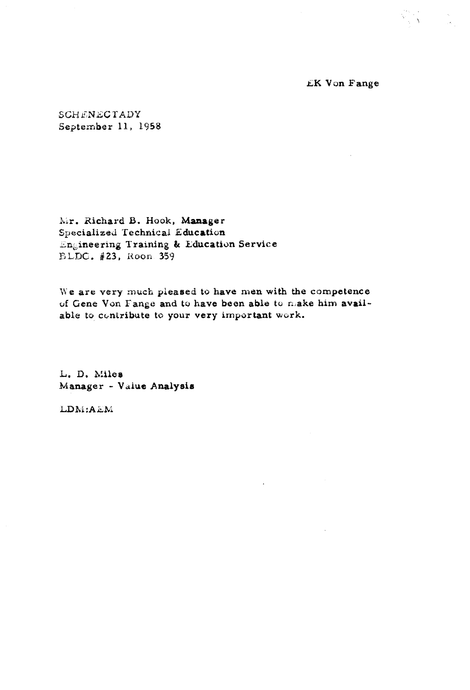EK Von Fange

SCHENECTADY September 11, 1958

Mr. Richard B. Hook, Manager Specialized Technical Education Engineering Training & Education Service BLDC. #23, Roon 359

We are very much pleased to have men with the competence of Gene Von Fange and to have been able to make him available to contribute to your very important work.

L. D. Miles Manager - Value Analysis

LDM:AEM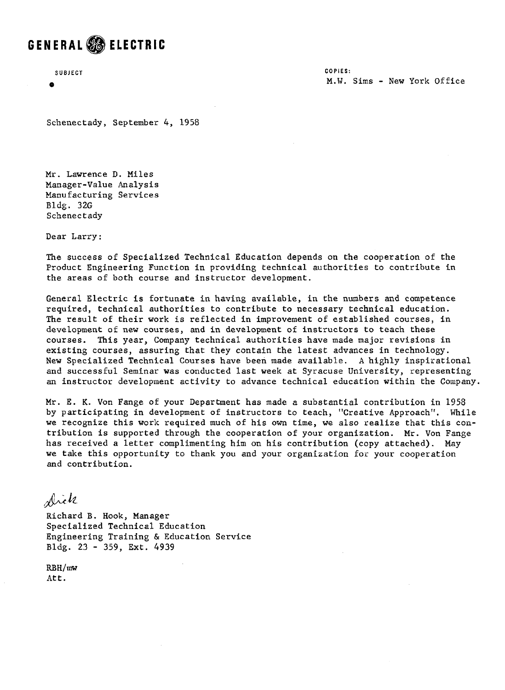## **GENERAL & ELECTRIC**

SUBJECT

 $\bullet$ 

**COPIES:**  M.W. Sims - New York Office

Schenectady, September 4, 1958

Mr. Lawrence D. Miles Manager-Value Analysis Manufacturing Services Bldg. 32G **Schenectady** 

Dear Larry:

The success of Specialized Technical Education depends on the cooperation of the Product Engineering Function in providing technical authorities to contribute in the areas of both course and instructor development.

General Electric is fortunate in having available, in the nunbers and competence required, technical authorities to contribute to necessary technical education. The result of their work is reflected in improvement of established courses, in development of new courses, and in development of instructors to teach these courses. This year, Company technical authorities have made major revisions in existing courses, assuring that they contain the latest advances in technology. Mew Specialized Technical Courses have been made available. **A** highly inspirational and successful Seminar was conducted last week at Syracuse University, representing an instructor development activity to advance technical education within the Company.

Mr. E. K. Von Fange of your Department has made a substantial contribution in 1958 by participating in development of instructors to teach, "Creative Approach". While we recognize this work required much of his own time, we also realize that this contribution is supported through the cooperation of your organization. Mr. Von Fange has received a letter complimenting him on his contribution (copy attached). May we take this opportunity to thank you and your organization for your cooperation and contribution.

Dick

Richard B. Hook, Manager Specialized Technical Education Engineering Training & Education Service Bldg. 23 - 359, Ext. 4939

RBH/mw Att.